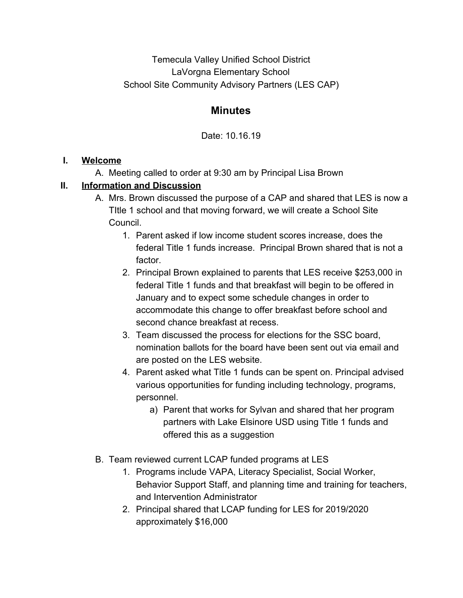Temecula Valley Unified School District LaVorgna Elementary School School Site Community Advisory Partners (LES CAP)

## **Minutes**

Date: 10.16.19

## **I. Welcome**

A. Meeting called to order at 9:30 am by Principal Lisa Brown

## **II. Information and Discussion**

- A. Mrs. Brown discussed the purpose of a CAP and shared that LES is now a TItle 1 school and that moving forward, we will create a School Site Council.
	- 1. Parent asked if low income student scores increase, does the federal Title 1 funds increase. Principal Brown shared that is not a factor.
	- 2. Principal Brown explained to parents that LES receive \$253,000 in federal Title 1 funds and that breakfast will begin to be offered in January and to expect some schedule changes in order to accommodate this change to offer breakfast before school and second chance breakfast at recess.
	- 3. Team discussed the process for elections for the SSC board, nomination ballots for the board have been sent out via email and are posted on the LES website.
	- 4. Parent asked what Title 1 funds can be spent on. Principal advised various opportunities for funding including technology, programs, personnel.
		- a) Parent that works for Sylvan and shared that her program partners with Lake Elsinore USD using Title 1 funds and offered this as a suggestion
- B. Team reviewed current LCAP funded programs at LES
	- 1. Programs include VAPA, Literacy Specialist, Social Worker, Behavior Support Staff, and planning time and training for teachers, and Intervention Administrator
	- 2. Principal shared that LCAP funding for LES for 2019/2020 approximately \$16,000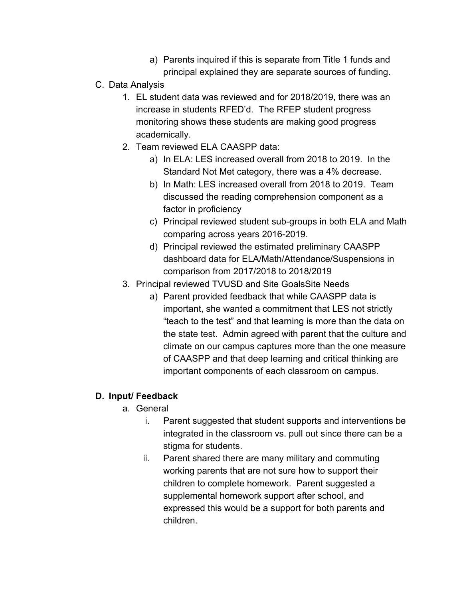- a) Parents inquired if this is separate from Title 1 funds and principal explained they are separate sources of funding.
- C. Data Analysis
	- 1. EL student data was reviewed and for 2018/2019, there was an increase in students RFED'd. The RFEP student progress monitoring shows these students are making good progress academically.
	- 2. Team reviewed ELA CAASPP data:
		- a) In ELA: LES increased overall from 2018 to 2019. In the Standard Not Met category, there was a 4% decrease.
		- b) In Math: LES increased overall from 2018 to 2019. Team discussed the reading comprehension component as a factor in proficiency
		- c) Principal reviewed student sub-groups in both ELA and Math comparing across years 2016-2019.
		- d) Principal reviewed the estimated preliminary CAASPP dashboard data for ELA/Math/Attendance/Suspensions in comparison from 2017/2018 to 2018/2019
	- 3. Principal reviewed TVUSD and Site GoalsSite Needs
		- a) Parent provided feedback that while CAASPP data is important, she wanted a commitment that LES not strictly "teach to the test" and that learning is more than the data on the state test. Admin agreed with parent that the culture and climate on our campus captures more than the one measure of CAASPP and that deep learning and critical thinking are important components of each classroom on campus.

## **D. Input/ Feedback**

- a. General
	- i. Parent suggested that student supports and interventions be integrated in the classroom vs. pull out since there can be a stigma for students.
	- ii. Parent shared there are many military and commuting working parents that are not sure how to support their children to complete homework. Parent suggested a supplemental homework support after school, and expressed this would be a support for both parents and children.